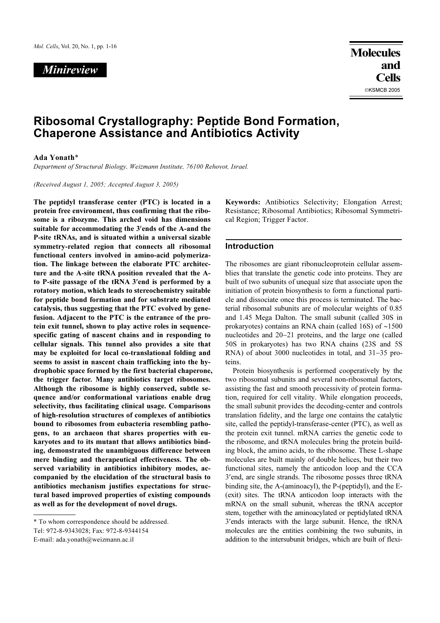# Minireview

# Ribosomal Crystallography: Peptide Bond Formation, Chaperone Assistance and Antibiotics Activity

### Ada Yonath*\**

Department of Structural Biology, Weizmann Institute, 76100 Rehovot, Israel.

(Received August 1, 2005; Accepted August 3, 2005)

The peptidyl transferase center (PTC) is located in a protein free environment, thus confirming that the ribosome is a ribozyme. This arched void has dimensions suitable for accommodating the 3′ends of the A-and the P-site tRNAs, and is situated within a universal sizable symmetry-related region that connects all ribosomal functional centers involved in amino-acid polymerization. The linkage between the elaborate PTC architecture and the A-site tRNA position revealed that the Ato P-site passage of the tRNA 3′end is performed by a rotatory motion, which leads to stereochemistry suitable for peptide bond formation and for substrate mediated catalysis, thus suggesting that the PTC evolved by genefusion. Adjacent to the PTC is the entrance of the protein exit tunnel, shown to play active roles in sequencespecific gating of nascent chains and in responding to cellular signals. This tunnel also provides a site that may be exploited for local co-translational folding and seems to assist in nascent chain trafficking into the hydrophobic space formed by the first bacterial chaperone, the trigger factor. Many antibiotics target ribosomes. Although the ribosome is highly conserved, subtle sequence and/or conformational variations enable drug selectivity, thus facilitating clinical usage. Comparisons of high-resolution structures of complexes of antibiotics bound to ribosomes from eubacteria resembling pathogens, to an archaeon that shares properties with eukaryotes and to its mutant that allows antibiotics binding, demonstrated the unambiguous difference between mere binding and therapeutical effectiveness. The observed variability in antibiotics inhibitory modes, accompanied by the elucidation of the structural basis to antibiotics mechanism justifies expectations for structural based improved properties of existing compounds as well as for the development of novel drugs.

Tel: 972-8-9343028; Fax: 972-8-9344154

Keywords: Antibiotics Selectivity; Elongation Arrest; Resistance; Ribosomal Antibiotics; Ribosomal Symmetrical Region; Trigger Factor.

#### Introduction

The ribosomes are giant ribonucleoprotein cellular assemblies that translate the genetic code into proteins. They are built of two subunits of unequal size that associate upon the initiation of protein biosynthesis to form a functional particle and dissociate once this process is terminated. The bacterial ribosomal subunits are of molecular weights of 0.85 and 1.45 Mega Dalton. The small subunit (called 30S in prokaryotes) contains an RNA chain (called 16S) of ∼1500 nucleotides and 20−21 proteins, and the large one (called 50S in prokaryotes) has two RNA chains (23S and 5S RNA) of about 3000 nucleotides in total, and 31−35 proteins.

 Protein biosynthesis is performed cooperatively by the two ribosomal subunits and several non-ribosomal factors, assisting the fast and smooth processivity of protein formation, required for cell vitality. While elongation proceeds, the small subunit provides the decoding-center and controls translation fidelity, and the large one contains the catalytic site, called the peptidyl-transferase-center (PTC), as well as the protein exit tunnel. mRNA carries the genetic code to the ribosome, and tRNA molecules bring the protein building block, the amino acids, to the ribosome. These L-shape molecules are built mainly of double helices, but their two functional sites, namely the anticodon loop and the CCA 3′end, are single strands. The ribosome posses three tRNA binding site, the A-(aminoacyl), the P-(peptidyl), and the E- (exit) sites. The tRNA anticodon loop interacts with the mRNA on the small subunit, whereas the tRNA acceptor stem, together with the aminoacylated or peptidylated tRNA 3′ends interacts with the large subunit. Hence, the tRNA molecules are the entities combining the two subunits, in addition to the intersubunit bridges, which are built of flexi-

<sup>\*</sup> To whom correspondence should be addressed.

E-mail: ada.yonath@weizmann.ac.il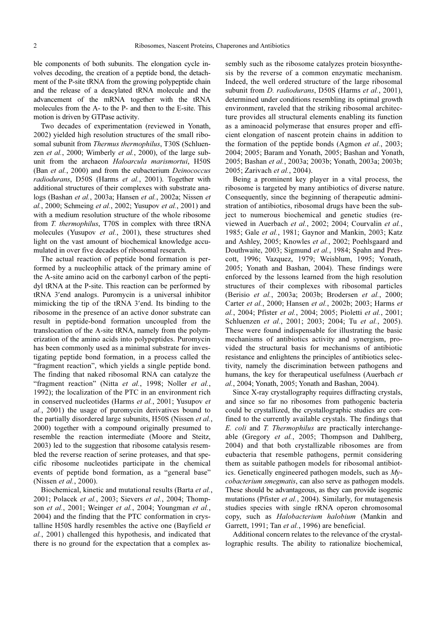ble components of both subunits. The elongation cycle involves decoding, the creation of a peptide bond, the detachment of the P-site tRNA from the growing polypeptide chain and the release of a deacylated tRNA molecule and the advancement of the mRNA together with the tRNA molecules from the A- to the P- and then to the E-site. This motion is driven by GTPase activity.

Two decades of experimentation (reviewed in Yonath, 2002) yielded high resolution structures of the small ribosomal subunit from Thermus thermophilus, T30S (Schluenzen et al., 2000; Wimberly et al., 2000), of the large subunit from the archaeon Haloarcula marismortui, H50S (Ban et al., 2000) and from the eubacterium Deinococcus radiodurans, D50S (Harms et al., 2001). Together with additional structures of their complexes with substrate analogs (Bashan et al., 2003a; Hansen et al., 2002a; Nissen et al., 2000; Schmeing et al., 2002; Yusupov et al., 2001) and with a medium resolution structure of the whole ribosome from T. thermophilus, T70S in complex with three tRNA molecules (Yusupov et al., 2001), these structures shed light on the vast amount of biochemical knowledge accumulated in over five decades of ribosomal research.

The actual reaction of peptide bond formation is performed by a nucleophilic attack of the primary amine of the A-site amino acid on the carbonyl carbon of the peptidyl tRNA at the P-site. This reaction can be performed by tRNA 3′end analogs. Puromycin is a universal inhibitor mimicking the tip of the tRNA 3′end. Its binding to the ribosome in the presence of an active donor substrate can result in peptide-bond formation uncoupled from the translocation of the A-site tRNA, namely from the polymerization of the amino acids into polypeptides. Puromycin has been commonly used as a minimal substrate for investigating peptide bond formation, in a process called the "fragment reaction", which yields a single peptide bond. The finding that naked ribosomal RNA can catalyze the "fragment reaction" (Nitta et al., 1998; Noller et al., 1992); the localization of the PTC in an environment rich in conserved nucleotides (Harms et al., 2001; Yusupov et al., 2001) the usage of puromycin derivatives bound to the partially disordered large subunits, H50S (Nissen et al., 2000) together with a compound originally presumed to resemble the reaction intermediate (Moore and Steitz, 2003) led to the suggestion that ribosome catalysis resembled the reverse reaction of serine proteases, and that specific ribosome nucleotides participate in the chemical events of peptide bond formation, as a "general base" (Nissen et al., 2000).

Biochemical, kinetic and mutational results (Barta et al., 2001; Polacek et al., 2003; Sievers et al., 2004; Thompson et al., 2001; Weinger et al., 2004; Youngman et al., 2004) and the finding that the PTC conformation in crystalline H50S hardly resembles the active one (Bayfield et al., 2001) challenged this hypothesis, and indicated that there is no ground for the expectation that a complex assembly such as the ribosome catalyzes protein biosynthesis by the reverse of a common enzymatic mechanism. Indeed, the well ordered structure of the large ribosomal subunit from *D. radiodurans*, D50S (Harms et al., 2001), determined under conditions resembling its optimal growth environment, raveled that the striking ribosomal architecture provides all structural elements enabling its function as a aminoacid polymerase that ensures proper and efficient elongation of nascent protein chains in addition to the formation of the peptide bonds (Agmon et al., 2003; 2004; 2005; Baram and Yonath, 2005; Bashan and Yonath, 2005; Bashan et al., 2003a; 2003b; Yonath, 2003a; 2003b; 2005; Zarivach et al., 2004).

Being a prominent key player in a vital process, the ribosome is targeted by many antibiotics of diverse nature. Consequently, since the beginning of therapeutic administration of antibiotics, ribosomal drugs have been the subject to numerous biochemical and genetic studies (reviewed in Auerbach et al., 2002; 2004; Courvalin et al., 1985; Gale et al., 1981; Gaynor and Mankin, 2003; Katz and Ashley, 2005; Knowles et al., 2002; Poehlsgaard and Douthwaite, 2003; Sigmund et al., 1984; Spahn and Prescott, 1996; Vazquez, 1979; Weisblum, 1995; Yonath, 2005; Yonath and Bashan, 2004). These findings were enforced by the lessons learned from the high resolution structures of their complexes with ribosomal particles (Berisio et al., 2003a; 2003b; Brodersen et al., 2000; Carter et al., 2000; Hansen et al., 2002b; 2003; Harms et al., 2004; Pfister et al., 2004; 2005; Pioletti et al., 2001; Schluenzen et al., 2001; 2003; 2004; Tu et al., 2005). These were found indispensable for illustrating the basic mechanisms of antibiotics activity and synergism, provided the structural basis for mechanisms of antibiotic resistance and enlightens the principles of antibiotics selectivity, namely the discrimination between pathogens and humans, the key for therapeutical usefulness (Auerbach et al., 2004; Yonath, 2005; Yonath and Bashan, 2004).

Since X-ray crystallography requires diffracting crystals, and since so far no ribosomes from pathogenic bacteria could be crystallized, the crystallographic studies are confined to the currently available crystals. The findings that E. coli and T. Thermophilus are practically interchangeable (Gregory et al., 2005; Thompson and Dahlberg, 2004) and that both crystallizable ribosomes are from eubacteria that resemble pathogens, permit considering them as suitable pathogen models for ribosomal antibiotics. Genetically engineered pathogen models, such as Mycobacterium smegmatis, can also serve as pathogen models. These should be advantageous, as they can provide isogenic mutations (Pfister et al., 2004). Similarly, for mutagenesis studies species with single rRNA operon chromosomal copy, such as Halobacterium halobium (Mankin and Garrett, 1991; Tan et al., 1996) are beneficial.

Additional concern relates to the relevance of the crystallographic results. The ability to rationalize biochemical,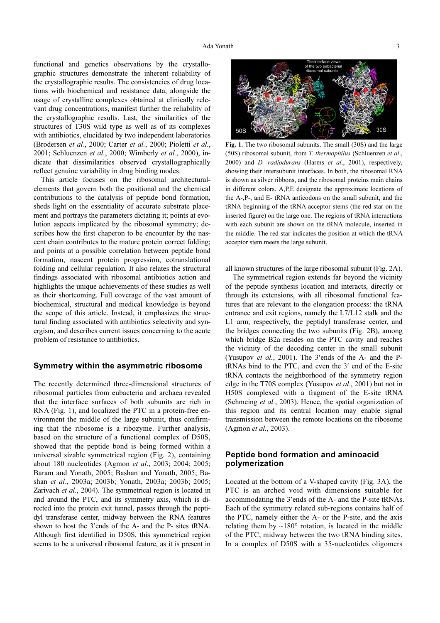functional and genetics observations by the crystallographic structures demonstrate the inherent reliability of the crystallographic results. The consistencies of drug locations with biochemical and resistance data, alongside the usage of crystalline complexes obtained at clinically relevant drug concentrations, manifest further the reliability of the crystallographic results. Last, the similarities of the structures of T30S wild type as well as of its complexes with antibiotics, elucidated by two independent laboratories (Brodersen et al., 2000; Carter et al., 2000; Pioletti et al., 2001; Schluenzen et al., 2000; Wimberly et al., 2000), indicate that dissimilarities observed crystallographically reflect genuine variability in drug binding modes.

This article focuses on the ribosomal architecturalelements that govern both the positional and the chemical contributions to the catalysis of peptide bond formation, sheds light on the essentiality of accurate substrate placement and portrays the parameters dictating it; points at evolution aspects implicated by the ribosomal symmetry; describes how the first chaperon to be encounter by the nascent chain contributes to the mature protein correct folding; and points at a possible correlation between peptide bond formation, nascent protein progression, cotranslational folding and cellular regulation. It also relates the structural findings associated with ribosomal antibiotics action and highlights the unique achievements of these studies as well as their shortcoming. Full coverage of the vast amount of biochemical, structural and medical knowledge is beyond the scope of this article. Instead, it emphasizes the structural finding associated with antibiotics selectivity and synergism, and describes current issues concerning to the acute problem of resistance to antibiotics.

# Symmetry within the asymmetric ribosome

The recently determined three-dimensional structures of ribosomal particles from eubacteria and archaea revealed that the interface surfaces of both subunits are rich in RNA (Fig. 1), and localized the PTC in a protein-free environment the middle of the large subunit, thus confirming that the ribosome is a ribozyme. Further analysis, based on the structure of a functional complex of D50S, showed that the peptide bond is being formed within a universal sizable symmetrical region (Fig. 2), containing about 180 nucleotides (Agmon et al., 2003; 2004; 2005; Baram and Yonath, 2005; Bashan and Yonath, 2005; Bashan et al., 2003a; 2003b; Yonath, 2003a; 2003b; 2005; Zarivach et al., 2004). The symmetrical region is located in and around the PTC, and its symmetry axis, which is directed into the protein exit tunnel, passes through the peptidyl transferase center, midway between the RNA features shown to host the 3′ends of the A- and the P- sites tRNA. Although first identified in D50S, this symmetrical region seems to be a universal ribosomal feature, as it is present in



Fig. 1. The two ribosomal subunits. The small (30S) and the large (50S) ribosomal subunit, from T. thermophilus (Schluenzen et al., 2000) and D. radiodurans (Harms et al., 2001), respectively, showing their intersubunit interfaces. In both, the ribosomal RNA is shown as silver ribbons, and the ribosomal proteins main chains in different colors. A,P,E designate the approximate locations of the A-,P-, and E- tRNA anticodons on the small subunit, and the tRNA beginning of the tRNA acceptor stems (the red star on the inserted figure) on the large one. The regions of tRNA interactions with each subunit are shown on the tRNA molecule, inserted in the middle. The red star indicates the position at which the tRNA acceptor stem meets the large subunit.

all known structures of the large ribosomal subunit (Fig. 2A).

The symmetrical region extends far beyond the vicinity of the peptide synthesis location and interacts, directly or through its extensions, with all ribosomal functional features that are relevant to the elongation process: the tRNA entrance and exit regions, namely the L7/L12 stalk and the L1 arm, respectively, the peptidyl transferase center, and the bridges connecting the two subunits (Fig. 2B), among which bridge B2a resides on the PTC cavity and reaches the vicinity of the decoding center in the small subunit (Yusupov et al., 2001). The 3′ends of the A- and the PtRNAs bind to the PTC, and even the 3′ end of the E-site tRNA contacts the neighborhood of the symmetry region edge in the T70S complex (Yusupov et al., 2001) but not in H50S complexed with a fragment of the E-site tRNA (Schmeing et al., 2003). Hence, the spatial organization of this region and its central location may enable signal transmission between the remote locations on the ribosome (Agmon et al., 2003).

# Peptide bond formation and aminoacid polymerization

Located at the bottom of a V-shaped cavity (Fig. 3A), the PTC is an arched void with dimensions suitable for accommodating the 3′ends of the A- and the P-site tRNAs. Each of the symmetry related sub-regions contains half of the PTC, namely either the A- or the P-site, and the axis relating them by  $\sim$ 180 $\degree$  rotation, is located in the middle of the PTC, midway between the two tRNA binding sites. In a complex of D50S with a 35-nucleotides oligomers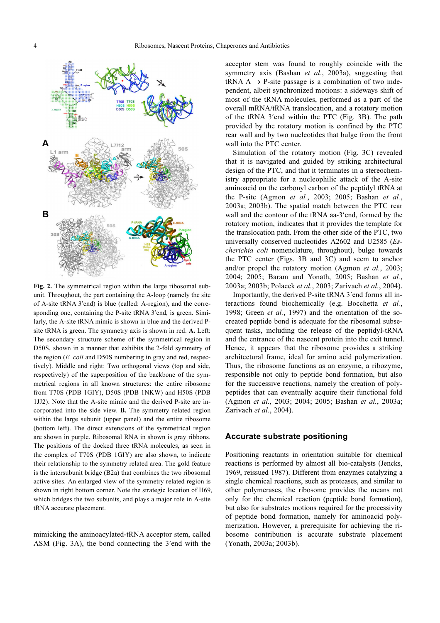

Fig. 2. The symmetrical region within the large ribosomal subunit. Throughout, the part containing the A-loop (namely the site of A-site tRNA 3′end) is blue (called: A-region), and the corresponding one, containing the P-site tRNA 3′end, is green. Similarly, the A-site tRNA mimic is shown in blue and the derived Psite tRNA is green. The symmetry axis is shown in red. A. Left: The secondary structure scheme of the symmetrical region in D50S, shown in a manner that exhibits the 2-fold symmetry of the region (*E. coli* and D50S numbering in gray and red, respectively). Middle and right: Two orthogonal views (top and side, respectively) of the superposition of the backbone of the symmetrical regions in all known structures: the entire ribosome from T70S (PDB 1GIY), D50S (PDB 1NKW) and H50S (PDB 1JJ2). Note that the A-site mimic and the derived P-site are incorporated into the side view. B. The symmetry related region within the large subunit (upper panel) and the entire ribosome (bottom left). The direct extensions of the symmetrical region are shown in purple. Ribosomal RNA in shown is gray ribbons. The positions of the docked three tRNA molecules, as seen in the complex of T70S (PDB 1GIY) are also shown, to indicate their relationship to the symmetry related area. The gold feature is the intersubunit bridge (B2a) that combines the two ribosomal active sites. An enlarged view of the symmetry related region is shown in right bottom corner. Note the strategic location of H69, which bridges the two subunits, and plays a major role in A-site tRNA accurate placement.

mimicking the aminoacylated-tRNA acceptor stem, called ASM (Fig. 3A), the bond connecting the 3′end with the

acceptor stem was found to roughly coincide with the symmetry axis (Bashan et al., 2003a), suggesting that tRNA  $A \rightarrow P$ -site passage is a combination of two independent, albeit synchronized motions: a sideways shift of most of the tRNA molecules, performed as a part of the overall mRNA/tRNA translocation, and a rotatory motion of the tRNA 3′end within the PTC (Fig. 3B). The path provided by the rotatory motion is confined by the PTC rear wall and by two nucleotides that bulge from the front wall into the PTC center.

Simulation of the rotatory motion (Fig. 3C) revealed that it is navigated and guided by striking architectural design of the PTC, and that it terminates in a stereochemistry appropriate for a nucleophilic attack of the A-site aminoacid on the carbonyl carbon of the peptidyl tRNA at the P-site (Agmon et al., 2003; 2005; Bashan et al., 2003a; 2003b). The spatial match between the PTC rear wall and the contour of the tRNA aa-3′end, formed by the rotatory motion, indicates that it provides the template for the translocation path. From the other side of the PTC, two universally conserved nucleotides A2602 and U2585 (Escherichia coli nomenclature, throughout), bulge towards the PTC center (Figs. 3B and 3C) and seem to anchor and/or propel the rotatory motion (Agmon et al., 2003; 2004; 2005; Baram and Yonath, 2005; Bashan et al., 2003a; 2003b; Polacek et al., 2003; Zarivach et al., 2004).

Importantly, the derived P-site tRNA 3′end forms all interactions found biochemically (e.g. Bocchetta et al., 1998; Green *et al.*, 1997) and the orientation of the socreated peptide bond is adequate for the ribosomal subsequent tasks, including the release of the peptidyl-tRNA and the entrance of the nascent protein into the exit tunnel. Hence, it appears that the ribosome provides a striking architectural frame, ideal for amino acid polymerization. Thus, the ribosome functions as an enzyme, a ribozyme, responsible not only to peptide bond formation, but also for the successive reactions, namely the creation of polypeptides that can eventually acquire their functional fold (Agmon et al., 2003; 2004; 2005; Bashan et al., 2003a; Zarivach *et al.*, 2004).

## Accurate substrate positioning

Positioning reactants in orientation suitable for chemical reactions is performed by almost all bio-catalysts (Jencks, 1969, reissued 1987). Different from enzymes catalyzing a single chemical reactions, such as proteases, and similar to other polymerases, the ribosome provides the means not only for the chemical reaction (peptide bond formation), but also for substrates motions required for the processivity of peptide bond formation, namely for aminoacid polymerization. However, a prerequisite for achieving the ribosome contribution is accurate substrate placement (Yonath, 2003a; 2003b).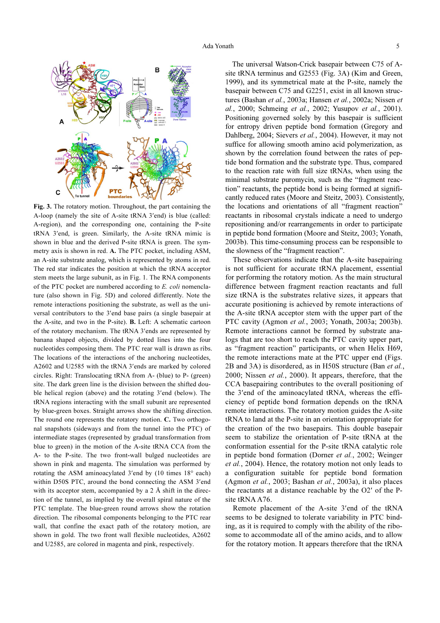

Fig. 3. The rotatory motion. Throughout, the part containing the A-loop (namely the site of A-site tRNA 3′end) is blue (called: A-region), and the corresponding one, containing the P-site tRNA 3′end, is green. Similarly, the A-site tRNA mimic is shown in blue and the derived P-site tRNA is green. The symmetry axis is shown in red. A. The PTC pocket, including ASM, an A-site substrate analog, which is represented by atoms in red. The red star indicates the position at which the tRNA acceptor stem meets the large subunit, as in Fig. 1. The RNA components of the PTC pocket are numbered according to E. coli nomenclature (also shown in Fig. 5D) and colored differently. Note the remote interactions positioning the substrate, as well as the universal contributors to the 3′end base pairs (a single basepair at the A-site, and two in the P-site). B. Left: A schematic cartoon of the rotatory mechanism. The tRNA 3′ends are represented by banana shaped objects, divided by dotted lines into the four nucleotides composing them. The PTC rear wall is drawn as ribs. The locations of the interactions of the anchoring nucleotides, A2602 and U2585 with the tRNA 3′ends are marked by colored circles. Right: Translocating tRNA from A- (blue) to P- (green) site. The dark green line is the division between the shifted double helical region (above) and the rotating 3′end (below). The tRNA regions interacting with the small subunit are represented by blue-green boxes. Straight arrows show the shifting direction. The round one represents the rotatory motion. C. Two orthogonal snapshots (sideways and from the tunnel into the PTC) of intermediate stages (represented by gradual transformation from blue to green) in the motion of the A-site tRNA CCA from the A- to the P-site. The two front-wall bulged nucleotides are shown in pink and magenta. The simulation was performed by rotating the ASM aminoacylated 3′end by (10 times 18° each) within D50S PTC, around the bond connecting the ASM 3′end with its acceptor stem, accompanied by a 2 Å shift in the direction of the tunnel, as implied by the overall spiral nature of the PTC template. The blue-green round arrows show the rotation direction. The ribosomal components belonging to the PTC rear wall, that confine the exact path of the rotatory motion, are shown in gold. The two front wall flexible nucleotides, A2602 and U2585, are colored in magenta and pink, respectively.

The universal Watson-Crick basepair between C75 of Asite tRNA terminus and G2553 (Fig. 3A) (Kim and Green, 1999), and its symmetrical mate at the P-site, namely the basepair between C75 and G2251, exist in all known structures (Bashan et al., 2003a; Hansen et al., 2002a; Nissen et al., 2000; Schmeing et al., 2002; Yusupov et al., 2001). Positioning governed solely by this basepair is sufficient for entropy driven peptide bond formation (Gregory and Dahlberg, 2004; Sievers et al., 2004). However, it may not suffice for allowing smooth amino acid polymerization, as shown by the correlation found between the rates of peptide bond formation and the substrate type. Thus, compared to the reaction rate with full size tRNAs, when using the minimal substrate puromycin, such as the "fragment reaction" reactants, the peptide bond is being formed at significantly reduced rates (Moore and Steitz, 2003). Consistently, the locations and orientations of all "fragment reaction" reactants in ribosomal crystals indicate a need to undergo repositioning and/or rearrangements in order to participate in peptide bond formation (Moore and Steitz, 2003; Yonath, 2003b). This time-consuming process can be responsible to the slowness of the "fragment reaction".

These observations indicate that the A-site basepairing is not sufficient for accurate tRNA placement, essential for performing the rotatory motion. As the main structural difference between fragment reaction reactants and full size tRNA is the substrates relative sizes, it appears that accurate positioning is achieved by remote interactions of the A-site tRNA acceptor stem with the upper part of the PTC cavity (Agmon *et al.*, 2003; Yonath, 2003a; 2003b). Remote interactions cannot be formed by substrate analogs that are too short to reach the PTC cavity upper part, as "fragment reaction" participants, or when Helix H69, the remote interactions mate at the PTC upper end (Figs. 2B and 3A) is disordered, as in H50S structure (Ban et al., 2000; Nissen et al., 2000). It appears, therefore, that the CCA basepairing contributes to the overall positioning of the 3′end of the aminoacylated tRNA, whereas the efficiency of peptide bond formation depends on the tRNA remote interactions. The rotatory motion guides the A-site tRNA to land at the P-site in an orientation appropriate for the creation of the two basepairs. This double basepair seem to stabilize the orientation of P-site tRNA at the conformation essential for the P-site tRNA catalytic role in peptide bond formation (Dorner et al., 2002; Weinger et al., 2004). Hence, the rotatory motion not only leads to a configuration suitable for peptide bond formation (Agmon et al., 2003; Bashan et al., 2003a), it also places the reactants at a distance reachable by the O2′ of the Psite tRNA A76.

Remote placement of the A-site 3′end of the tRNA seems to be designed to tolerate variability in PTC binding, as it is required to comply with the ability of the ribosome to accommodate all of the amino acids, and to allow for the rotatory motion. It appears therefore that the tRNA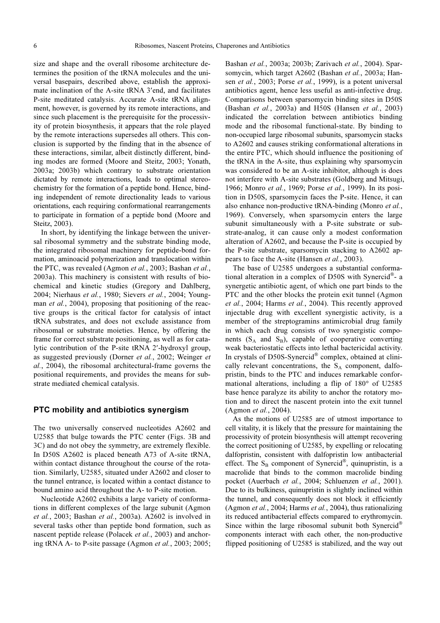size and shape and the overall ribosome architecture determines the position of the tRNA molecules and the universal basepairs, described above, establish the approximate inclination of the A-site tRNA 3′end, and facilitates P-site meditated catalysis. Accurate A-site tRNA alignment, however, is governed by its remote interactions, and since such placement is the prerequisite for the processivity of protein biosynthesis, it appears that the role played by the remote interactions supersedes all others. This conclusion is supported by the finding that in the absence of these interactions, similar, albeit distinctly different, binding modes are formed (Moore and Steitz, 2003; Yonath, 2003a; 2003b) which contrary to substrate orientation dictated by remote interactions, leads to optimal stereochemistry for the formation of a peptide bond. Hence, binding independent of remote directionality leads to various orientations, each requiring conformational rearrangements to participate in formation of a peptide bond (Moore and Steitz, 2003).

In short, by identifying the linkage between the universal ribosomal symmetry and the substrate binding mode, the integrated ribosomal machinery for peptide-bond formation, aminoacid polymerization and translocation within the PTC, was revealed (Agmon et al., 2003; Bashan et al., 2003a). This machinery is consistent with results of biochemical and kinetic studies (Gregory and Dahlberg, 2004; Nierhaus et al., 1980; Sievers et al., 2004; Youngman *et al.*, 2004), proposing that positioning of the reactive groups is the critical factor for catalysis of intact tRNA substrates, and does not exclude assistance from ribosomal or substrate moieties. Hence, by offering the frame for correct substrate positioning, as well as for catalytic contribution of the P-site tRNA 2′-hydroxyl group, as suggested previously (Dorner et al., 2002; Weinger et al., 2004), the ribosomal architectural-frame governs the positional requirements, and provides the means for substrate mediated chemical catalysis.

# PTC mobility and antibiotics synergism

The two universally conserved nucleotides A2602 and U2585 that bulge towards the PTC center (Figs. 3B and 3C) and do not obey the symmetry, are extremely flexible. In D50S A2602 is placed beneath A73 of A-site tRNA, within contact distance throughout the course of the rotation. Similarly, U2585, situated under A2602 and closer to the tunnel entrance, is located within a contact distance to bound amino acid throughout the A- to P-site motion.

Nucleotide A2602 exhibits a large variety of conformations in different complexes of the large subunit (Agmon et al., 2003; Bashan et al., 2003a). A2602 is involved in several tasks other than peptide bond formation, such as nascent peptide release (Polacek et al., 2003) and anchoring tRNA A- to P-site passage (Agmon et al., 2003; 2005;

Bashan et al., 2003a; 2003b; Zarivach et al., 2004). Sparsomycin, which target A2602 (Bashan et al., 2003a; Hansen et al., 2003; Porse et al., 1999), is a potent universal antibiotics agent, hence less useful as anti-infective drug. Comparisons between sparsomycin binding sites in D50S (Bashan et al., 2003a) and H50S (Hansen et al., 2003) indicated the correlation between antibiotics binding mode and the ribosomal functional-state. By binding to non-occupied large ribosomal subunits, sparsomycin stacks to A2602 and causes striking conformational alterations in the entire PTC, which should influence the positioning of the tRNA in the A-site, thus explaining why sparsomycin was considered to be an A-site inhibitor, although is does not interfere with A-site substrates (Goldberg and Mitsugi, 1966; Monro *et al.*, 1969; Porse *et al.*, 1999). In its position in D50S, sparsomycin faces the P-site. Hence, it can also enhance non-productive tRNA-binding (Monro et al., 1969). Conversely, when sparsomycin enters the large subunit simultaneously with a P-site substrate or substrate-analog, it can cause only a modest conformation alteration of A2602, and because the P-site is occupied by the P-site substrate, sparsomycin stacking to A2602 appears to face the A-site (Hansen et al., 2003).

The base of U2585 undergoes a substantial conformational alteration in a complex of D50S with Synercid®- a synergetic antibiotic agent, of which one part binds to the PTC and the other blocks the protein exit tunnel (Agmon et al., 2004; Harms et al., 2004). This recently approved injectable drug with excellent synergistic activity, is a member of the streptogramins antimicrobial drug family in which each drug consists of two synergistic components  $(S_A \text{ and } S_B)$ , capable of cooperative converting weak bacteriostatic effects into lethal bactericidal activity. In crystals of D50S-Synercid® complex, obtained at clinically relevant concentrations, the  $S_A$  component, dalfopristin, binds to the PTC and induces remarkable conformational alterations, including a flip of 180° of U2585 base hence paralyze its ability to anchor the rotatory motion and to direct the nascent protein into the exit tunnel (Agmon et al., 2004).

As the motions of U2585 are of utmost importance to cell vitality, it is likely that the pressure for maintaining the processivity of protein biosynthesis will attempt recovering the correct positioning of U2585, by expelling or relocating dalfopristin, consistent with dalfopristin low antibacterial effect. The  $S_B$  component of Synercid<sup>®</sup>, quinupristin, is a macrolide that binds to the common macrolide binding pocket (Auerbach et al., 2004; Schluenzen et al., 2001). Due to its bulkiness, quinupristin is slightly inclined within the tunnel, and consequently does not block it efficiently (Agmon et al., 2004; Harms et al., 2004), thus rationalizing its reduced antibacterial effects compared to erythromycin. Since within the large ribosomal subunit both Synercid<sup>®</sup> components interact with each other, the non-productive flipped positioning of U2585 is stabilized, and the way out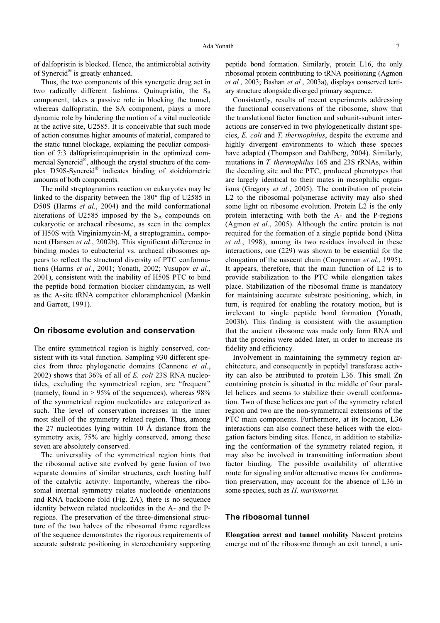of dalfopristin is blocked. Hence, the antimicrobial activity of Synercid<sup>®</sup> is greatly enhanced.

Thus, the two components of this synergetic drug act in two radically different fashions. Quinupristin, the  $S_B$ component, takes a passive role in blocking the tunnel, whereas dalfopristin, the SA component, plays a more dynamic role by hindering the motion of a vital nucleotide at the active site, U2585. It is conceivable that such mode of action consumes higher amounts of material, compared to the static tunnel blockage, explaining the peculiar composition of 7:3 dalfopristin:quinupristin in the optimized commercial Synercid®, although the crystal structure of the complex D50S-Synercid<sup>®</sup> indicates binding of stoichiometric amounts of both components.

The mild streptogramins reaction on eukaryotes may be linked to the disparity between the 180° flip of U2585 in D50S (Harms et al., 2004) and the mild conformational alterations of U2585 imposed by the  $S_A$  compounds on eukaryotic or archaeal ribosome, as seen in the complex of H50S with Virginiamycin-M, a streptogramin<sub>A</sub> component (Hansen et al., 2002b). This significant difference in binding modes to eubacterial vs. archaeal ribosomes appears to reflect the structural diversity of PTC conformations (Harms et al., 2001; Yonath, 2002; Yusupov et al., 2001), consistent with the inability of H50S PTC to bind the peptide bond formation blocker clindamycin, as well as the A-site tRNA competitor chloramphenicol (Mankin and Garrett, 1991).

#### On ribosome evolution and conservation

The entire symmetrical region is highly conserved, consistent with its vital function. Sampling 930 different species from three phylogenetic domains (Cannone et al., 2002) shows that 36% of all of E. coli 23S RNA nucleotides, excluding the symmetrical region, are "frequent" (namely, found in  $> 95\%$  of the sequences), whereas  $98\%$ of the symmetrical region nucleotides are categorized as such. The level of conservation increases in the inner most shell of the symmetry related region. Thus, among the 27 nucleotides lying within 10 Å distance from the symmetry axis, 75% are highly conserved, among these seven are absolutely conserved.

The universality of the symmetrical region hints that the ribosomal active site evolved by gene fusion of two separate domains of similar structures, each hosting half of the catalytic activity. Importantly, whereas the ribosomal internal symmetry relates nucleotide orientations and RNA backbone fold (Fig. 2A), there is no sequence identity between related nucleotides in the A- and the Pregions. The preservation of the three-dimensional structure of the two halves of the ribosomal frame regardless of the sequence demonstrates the rigorous requirements of accurate substrate positioning in stereochemistry supporting peptide bond formation. Similarly, protein L16, the only ribosomal protein contributing to tRNA positioning (Agmon et al., 2003; Bashan et al., 2003a), displays conserved tertiary structure alongside diverged primary sequence.

Consistently, results of recent experiments addressing the functional conservations of the ribosome, show that the translational factor function and subunit-subunit interactions are conserved in two phylogenetically distant species, E. coli and T. thermophilus, despite the extreme and highly divergent environments to which these species have adapted (Thompson and Dahlberg, 2004). Similarly, mutations in T. thermophilus 16S and 23S rRNAs, within the decoding site and the PTC, produced phenotypes that are largely identical to their mates in mesophilic organisms (Gregory *et al.*, 2005). The contribution of protein L2 to the ribosomal polymerase activity may also shed some light on ribosome evolution. Protein L2 is the only protein interacting with both the A- and the P-regions (Agmon et al., 2005). Although the entire protein is not required for the formation of a single peptide bond (Nitta et al., 1998), among its two residues involved in these interactions, one (229) was shown to be essential for the elongation of the nascent chain (Cooperman et al., 1995). It appears, therefore, that the main function of L2 is to provide stabilization to the PTC while elongation takes place. Stabilization of the ribosomal frame is mandatory for maintaining accurate substrate positioning, which, in turn, is required for enabling the rotatory motion, but is irrelevant to single peptide bond formation (Yonath, 2003b). This finding is consistent with the assumption that the ancient ribosome was made only form RNA and that the proteins were added later, in order to increase its fidelity and efficiency.

Involvement in maintaining the symmetry region architecture, and consequently in peptidyl transferase activity can also be attributed to protein L36. This small Zn containing protein is situated in the middle of four parallel helices and seems to stabilize their overall conformation. Two of these helices are part of the symmetry related region and two are the non-symmetrical extensions of the PTC main components. Furthermore, at its location, L36 interactions can also connect these helices with the elongation factors binding sites. Hence, in addition to stabilizing the conformation of the symmetry related region, it may also be involved in transmitting information about factor binding. The possible availability of alterntive route for signaling and/or alternative means for conformation preservation, may account for the absence of L36 in some species, such as H. marismortui.

#### The ribosomal tunnel

Elongation arrest and tunnel mobility Nascent proteins emerge out of the ribosome through an exit tunnel, a uni-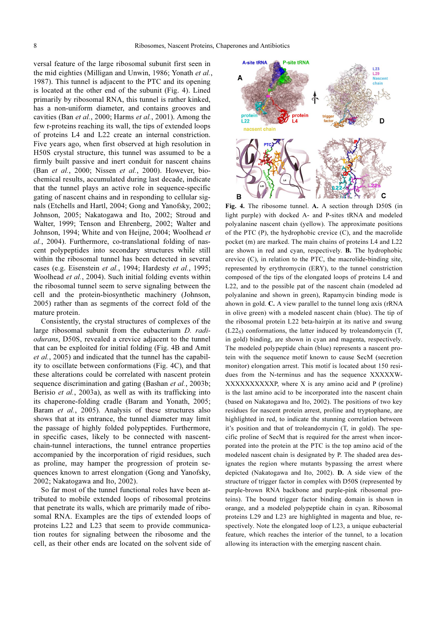versal feature of the large ribosomal subunit first seen in the mid eighties (Milligan and Unwin, 1986; Yonath et al., 1987). This tunnel is adjacent to the PTC and its opening is located at the other end of the subunit (Fig. 4). Lined primarily by ribosomal RNA, this tunnel is rather kinked, has a non-uniform diameter, and contains grooves and cavities (Ban et al., 2000; Harms et al., 2001). Among the few r-proteins reaching its wall, the tips of extended loops of proteins L4 and L22 create an internal constriction. Five years ago, when first observed at high resolution in H50S crystal structure, this tunnel was assumed to be a firmly built passive and inert conduit for nascent chains (Ban et al., 2000; Nissen et al., 2000). However, biochemical results, accumulated during last decade, indicate that the tunnel plays an active role in sequence-specific gating of nascent chains and in responding to cellular signals (Etchells and Hartl, 2004; Gong and Yanofsky, 2002; Johnson, 2005; Nakatogawa and Ito, 2002; Stroud and Walter, 1999; Tenson and Ehrenberg, 2002; Walter and Johnson, 1994; White and von Heijne, 2004; Woolhead et al., 2004). Furthermore, co-translational folding of nascent polypeptides into secondary structures while still within the ribosomal tunnel has been detected in several cases (e.g. Eisenstein et al., 1994; Hardesty et al., 1995; Woolhead *et al.*, 2004). Such initial folding events within the ribosomal tunnel seem to serve signaling between the cell and the protein-biosynthetic machinery (Johnson, 2005) rather than as segments of the correct fold of the mature protein.

Consistently, the crystal structures of complexes of the large ribosomal subunit from the eubacterium D. radiodurans, D50S, revealed a crevice adjacent to the tunnel that can be exploited for initial folding (Fig. 4B and Amit et al., 2005) and indicated that the tunnel has the capability to oscillate between conformations (Fig. 4C), and that these alterations could be correlated with nascent protein sequence discrimination and gating (Bashan et al., 2003b; Berisio et al., 2003a), as well as with its trafficking into its chaperone-folding cradle (Baram and Yonath, 2005; Baram et al., 2005). Analysis of these structures also shows that at its entrance, the tunnel diameter may limit the passage of highly folded polypeptides. Furthermore, in specific cases, likely to be connected with nascentchain-tunnel interactions, the tunnel entrance properties accompanied by the incorporation of rigid residues, such as proline, may hamper the progression of protein sequences known to arrest elongation (Gong and Yanofsky, 2002; Nakatogawa and Ito, 2002).

So far most of the tunnel functional roles have been attributed to mobile extended loops of ribosomal proteins that penetrate its walls, which are primarily made of ribosomal RNA. Examples are the tips of extended loops of proteins L22 and L23 that seem to provide communication routes for signaling between the ribosome and the cell, as their other ends are located on the solvent side of



Fig. 4. The ribosome tunnel. A. A section through D50S (in light purple) with docked A- and P-sites tRNA and modeled polyalanine nascent chain (yellow). The approximate positions of the PTC (P), the hydrophobic crevice (C), and the macrolide pocket (m) are marked. The main chains of proteins L4 and L22 are shown in red and cyan, respectively. B. The hydrophobic crevice (C), in relation to the PTC, the macrolide-binding site, represented by erythromycin (ERY), to the tunnel constriction composed of the tips of the elongated loops of proteins L4 and L22, and to the possible pat of the nascent chain (modeled ad polyalanine and shown in green), Rapamycin binding mode is ahown in gold. C. A view parallel to the tunnel long axis (rRNA in olive green) with a modeled nascent chain (blue). The tip of the ribosomal protein L22 beta-hairpin at its native and swung (L22*S*) conformations, the latter induced by troleandomycin (T, in gold) binding, are shown in cyan and magenta, respectively. The modeled polypeptide chain (blue) represents a nascent protein with the sequence motif known to cause SecM (secretion monitor) elongation arrest. This motif is located about 150 residues from the N-terminus and has the sequence XXXXXW-XXXXXXXXXXP, where X is any amino acid and P (proline) is the last amino acid to be incorporated into the nascent chain (based on Nakatogawa and Ito, 2002). The positions of two key residues for nascent protein arrest, proline and tryptophane, are highlighted in red, to indicate the stunning correlation between it's position and that of troleandomycin (T, in gold). The specific proline of SecM that is required for the arrest when incorporated into the protein at the PTC is the top amino acid of the modeled nascent chain is designated by P. The shaded area designates the region where mutants bypassing the arrest where depicted (Nakatogawa and Ito, 2002). D. A side view of the structure of trigger factor in complex with D50S (represented by purple-brown RNA backbone and purple-pink ribosomal proteins). The bound trigger factor binding domain is shown in orange, and a modeled polypeptide chain in cyan. Ribosomal proteins L29 and L23 are highlighted in magenta and blue, respectively. Note the elongated loop of L23, a unique eubacterial feature, which reaches the interior of the tunnel, to a location allowing its interaction with the emerging nascent chain.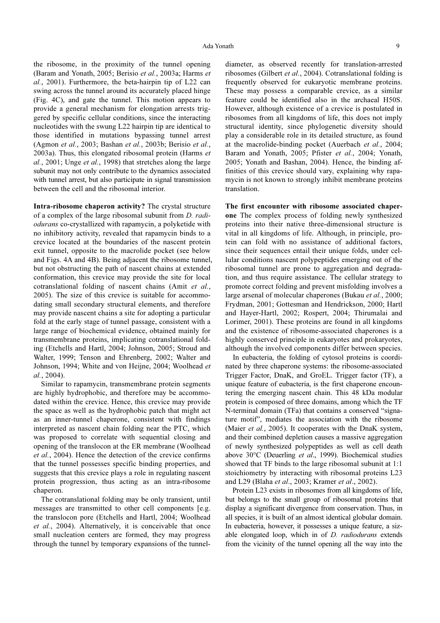the ribosome, in the proximity of the tunnel opening (Baram and Yonath, 2005; Berisio et al., 2003a; Harms et al., 2001). Furthermore, the beta-hairpin tip of L22 can swing across the tunnel around its accurately placed hinge (Fig. 4C), and gate the tunnel. This motion appears to provide a general mechanism for elongation arrests triggered by specific cellular conditions, since the interacting nucleotides with the swung L22 hairpin tip are identical to those identified in mutations bypassing tunnel arrest (Agmon et al., 2003; Bashan et al., 2003b; Berisio et al., 2003a). Thus, this elongated ribosomal protein (Harms et al., 2001; Unge et al., 1998) that stretches along the large subunit may not only contribute to the dynamics associated with tunnel arrest, but also participate in signal transmission between the cell and the ribosomal interior.

Intra-ribosome chaperon activity? The crystal structure of a complex of the large ribosomal subunit from D. radiodurans co-crystallized with rapamycin, a polyketide with no inhibitory activity, revealed that rapamycin binds to a crevice located at the boundaries of the nascent protein exit tunnel, opposite to the macrolide pocket (see below and Figs. 4A and 4B). Being adjacent the ribosome tunnel, but not obstructing the path of nascent chains at extended conformation, this crevice may provide the site for local cotranslational folding of nascent chains (Amit et al., 2005). The size of this crevice is suitable for accommodating small secondary structural elements, and therefore may provide nascent chains a site for adopting a particular fold at the early stage of tunnel passage, consistent with a large range of biochemical evidence, obtained mainly for transmembrane proteins, implicating cotranslational folding (Etchells and Hartl, 2004; Johnson, 2005; Stroud and Walter, 1999; Tenson and Ehrenberg, 2002; Walter and Johnson, 1994; White and von Heijne, 2004; Woolhead et al., 2004).

Similar to rapamycin, transmembrane protein segments are highly hydrophobic, and therefore may be accommodated within the crevice. Hence, this crevice may provide the space as well as the hydrophobic patch that might act as an inner-tunnel chaperone, consistent with findings interpreted as nascent chain folding near the PTC, which was proposed to correlate with sequential closing and opening of the translocon at the ER membrane (Woolhead et al., 2004). Hence the detection of the crevice confirms that the tunnel possesses specific binding properties, and suggests that this crevice plays a role in regulating nascent protein progression, thus acting as an intra-ribosome chaperon.

The cotranslational folding may be only transient, until messages are transmitted to other cell components [e.g. the translocon pore (Etchells and Hartl, 2004; Woolhead et al., 2004). Alternatively, it is conceivable that once small nucleation centers are formed, they may progress through the tunnel by temporary expansions of the tunnel-

diameter, as observed recently for translation-arrested ribosomes (Gilbert et al., 2004). Cotranslational folding is frequently observed for eukaryotic membrane proteins. These may possess a comparable crevice, as a similar feature could be identified also in the archaeal H50S. However, although existence of a crevice is postulated in ribosomes from all kingdoms of life, this does not imply structural identity, since phylogenetic diversity should play a considerable role in its detailed structure, as found at the macrolide-binding pocket (Auerbach et al., 2004; Baram and Yonath, 2005; Pfister et al., 2004; Yonath, 2005; Yonath and Bashan, 2004). Hence, the binding affinities of this crevice should vary, explaining why rapamycin is not known to strongly inhibit membrane proteins translation.

The first encounter with ribosome associated chaperone The complex process of folding newly synthesized proteins into their native three-dimensional structure is vital in all kingdoms of life. Although, in principle, protein can fold with no assistance of additional factors, since their sequences entail their unique folds, under cellular conditions nascent polypeptides emerging out of the ribosomal tunnel are prone to aggregation and degradation, and thus require assistance. The cellular strategy to promote correct folding and prevent misfolding involves a large arsenal of molecular chaperones (Bukau et al., 2000; Frydman, 2001; Gottesman and Hendrickson, 2000; Hartl and Hayer-Hartl, 2002; Rospert, 2004; Thirumalai and Lorimer, 2001). These proteins are found in all kingdoms and the existence of ribosome-associated chaperones is a highly conserved principle in eukaryotes and prokaryotes, although the involved components differ between species.

In eubacteria, the folding of cytosol proteins is coordinated by three chaperone systems: the ribosome-associated Trigger Factor, DnaK, and GroEL. Trigger factor (TF), a unique feature of eubacteria, is the first chaperone encountering the emerging nascent chain. This 48 kDa modular protein is composed of three domains, among which the TF N-terminal domain (TFa) that contains a conserved "signature motif", mediates the association with the ribosome (Maier et al., 2005). It cooperates with the DnaK system, and their combined depletion causes a massive aggregation of newly synthesized polypeptides as well as cell death above 30°C (Deuerling et al., 1999). Biochemical studies showed that TF binds to the large ribosomal subunit at 1:1 stoichiometry by interacting with ribosomal proteins L23 and L29 (Blaha et al., 2003; Kramer et al., 2002).

Protein L23 exists in ribosomes from all kingdoms of life, but belongs to the small group of ribosomal proteins that display a significant divergence from conservation. Thus, in all species, it is built of an almost identical globular domain. In eubacteria, however, it possesses a unique feature, a sizable elongated loop, which in of *D. radiodurans* extends from the vicinity of the tunnel opening all the way into the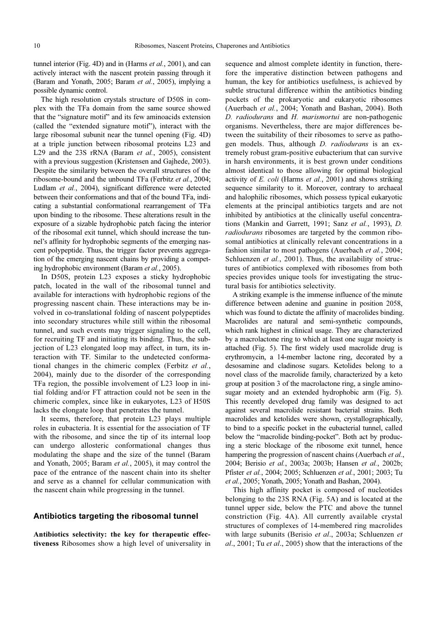tunnel interior (Fig. 4D) and in (Harms et al., 2001), and can actively interact with the nascent protein passing through it (Baram and Yonath, 2005; Baram et al., 2005), implying a possible dynamic control.

The high resolution crystals structure of D50S in complex with the TFa domain from the same source showed that the "signature motif" and its few aminoacids extension (called the "extended signature motif"), interact with the large ribosomal subunit near the tunnel opening (Fig. 4D) at a triple junction between ribosomal proteins L23 and L29 and the 23S rRNA (Baram et al., 2005), consistent with a previous suggestion (Kristensen and Gajhede, 2003). Despite the similarity between the overall structures of the ribosome-bound and the unbound TFa (Ferbitz et al., 2004; Ludlam et al., 2004), significant difference were detected between their conformations and that of the bound TFa, indicating a substantial conformational rearrangement of TFa upon binding to the ribosome. These alterations result in the exposure of a sizable hydrophobic patch facing the interior of the ribosomal exit tunnel, which should increase the tunnel's affinity for hydrophobic segments of the emerging nascent polypeptide. Thus, the trigger factor prevents aggregation of the emerging nascent chains by providing a competing hydrophobic environment (Baram et al., 2005).

In D50S, protein L23 exposes a sticky hydrophobic patch, located in the wall of the ribosomal tunnel and available for interactions with hydrophobic regions of the progressing nascent chain. These interactions may be involved in co-translational folding of nascent polypeptides into secondary structures while still within the ribosomal tunnel, and such events may trigger signaling to the cell, for recruiting TF and initiating its binding. Thus, the subjection of L23 elongated loop may affect, in turn, its interaction with TF. Similar to the undetected conformational changes in the chimeric complex (Ferbitz et al., 2004), mainly due to the disorder of the corresponding TFa region, the possible involvement of L23 loop in initial folding and/or FT attraction could not be seen in the chimeric complex, since like in eukaryotes, L23 of H50S lacks the elongate loop that penetrates the tunnel.

It seems, therefore, that protein L23 plays multiple roles in eubacteria. It is essential for the association of TF with the ribosome, and since the tip of its internal loop can undergo allosteric conformational changes thus modulating the shape and the size of the tunnel (Baram and Yonath, 2005; Baram et al., 2005), it may control the pace of the entrance of the nascent chain into its shelter and serve as a channel for cellular communication with the nascent chain while progressing in the tunnel.

### Antibiotics targeting the ribosomal tunnel

Antibiotics selectivity: the key for therapeutic effectiveness Ribosomes show a high level of universality in

sequence and almost complete identity in function, therefore the imperative distinction between pathogens and human, the key for antibiotics usefulness, is achieved by subtle structural difference within the antibiotics binding pockets of the prokaryotic and eukaryotic ribosomes (Auerbach et al., 2004; Yonath and Bashan, 2004). Both D. radiodurans and H. marismortui are non-pathogenic organisms. Nevertheless, there are major differences between the suitability of their ribosomes to serve as pathogen models. Thus, although D. radiodurans is an extremely robust gram-positive eubacterium that can survive in harsh environments, it is best grown under conditions almost identical to those allowing for optimal biological activity of E. coli (Harms et al., 2001) and shows striking sequence similarity to it. Moreover, contrary to archaeal and halophilic ribosomes, which possess typical eukaryotic elements at the principal antibiotics targets and are not inhibited by antibiotics at the clinically useful concentrations (Mankin and Garrett, 1991; Sanz et al., 1993), D. radiodurans ribosomes are targeted by the common ribosomal antibiotics at clinically relevant concentrations in a fashion similar to most pathogens (Auerbach et al., 2004; Schluenzen et al., 2001). Thus, the availability of structures of antibiotics complexed with ribosomes from both species provides unique tools for investigating the structural basis for antibiotics selectivity.

A striking example is the immense influence of the minute difference between adenine and guanine in position 2058, which was found to dictate the affinity of macrolides binding. Macrolides are natural and semi-synthetic compounds, which rank highest in clinical usage. They are characterized by a macrolactone ring to which at least one sugar moiety is attached (Fig. 5). The first widely used macrolide drug is erythromycin, a 14-member lactone ring, decorated by a desosamine and cladinose sugars. Ketolides belong to a novel class of the macrolide family, characterized by a keto group at position 3 of the macrolactone ring, a single aminosugar moiety and an extended hydrophobic arm (Fig. 5). This recently developed drug family was designed to act against several macrolide resistant bacterial strains. Both macrolides and ketolides were shown, crystallographically, to bind to a specific pocket in the eubacterial tunnel, called below the "macrolide binding-pocket". Both act by producing a steric blockage of the ribosome exit tunnel, hence hampering the progression of nascent chains (Auerbach *et al.*, 2004; Berisio et al., 2003a; 2003b; Hansen et al., 2002b; Pfister et al., 2004; 2005; Schluenzen et al., 2001; 2003; Tu et al., 2005; Yonath, 2005; Yonath and Bashan, 2004).

This high affinity pocket is composed of nucleotides belonging to the 23S RNA (Fig. 5A) and is located at the tunnel upper side, below the PTC and above the tunnel constriction (Fig. 4A). All currently available crystal structures of complexes of 14-membered ring macrolides with large subunits (Berisio et al., 2003a; Schluenzen et al., 2001; Tu et al., 2005) show that the interactions of the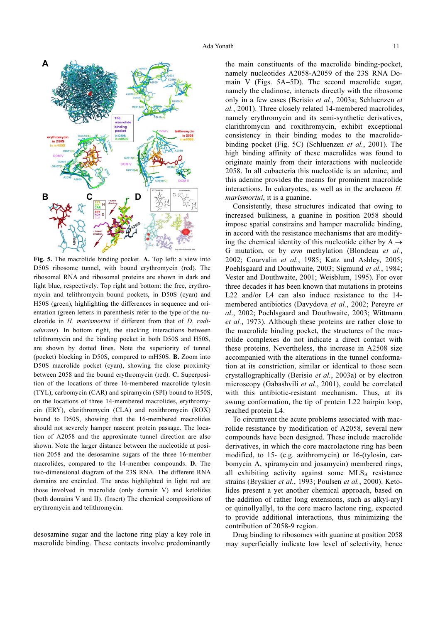

Fig. 5. The macrolide binding pocket. A. Top left: a view into D50S ribosome tunnel, with bound erythromycin (red). The ribosomal RNA and ribosomal proteins are shown in dark and light blue, respectively. Top right and bottom: the free, erythromycin and telithromycin bound pockets, in D50S (cyan) and H50S (green), highlighting the differences in sequence and orientation (green letters in parenthesis refer to the type of the nucleotide in H. marismortui if different from that of D. radiodurans). In bottom right, the stacking interactions between telithromycin and the binding pocket in both D50S and H50S, are shown by dotted lines. Note the superiority of tunnel (pocket) blocking in D50S, compared to mH50S. B. Zoom into D50S macrolide pocket (cyan), showing the close proximity between 2058 and the bound erythromycin (red). C. Superposition of the locations of three 16-membered macrolide tylosin (TYL), carbomycin (CAR) and spiramycin (SPI) bound to H50S, on the locations of three 14-membered macrolides, erythromycin (ERY), clarithromycin (CLA) and roxithromycin (ROX) bound to D50S, showing that the 16-membered macrolides should not severely hamper nascent protein passage. The location of A2058 and the approximate tunnel direction are also shown. Note the larger distance between the nucleotide at position 2058 and the desosamine sugars of the three 16-member macrolides, compared to the 14-member compounds. D. The two-dimensional diagram of the 23S RNA. The different RNA domains are encircled. The areas highlighted in light red are those involved in macrolide (only domain V) and ketolides (both domains V and II). (Insert) The chemical compositions of erythromycin and telithromycin.

desosamine sugar and the lactone ring play a key role in macrolide binding. These contacts involve predominantly the main constituents of the macrolide binding-pocket, namely nucleotides A2058-A2059 of the 23S RNA Domain V (Figs. 5A−5D). The second macrolide sugar, namely the cladinose, interacts directly with the ribosome only in a few cases (Berisio et al., 2003a; Schluenzen et al., 2001). Three closely related 14-membered macrolides, namely erythromycin and its semi-synthetic derivatives, clarithromycin and roxithromycin, exhibit exceptional consistency in their binding modes to the macrolidebinding pocket (Fig. 5C) (Schluenzen et al., 2001). The high binding affinity of these macrolides was found to originate mainly from their interactions with nucleotide 2058. In all eubacteria this nucleotide is an adenine, and this adenine provides the means for prominent macrolide interactions. In eukaryotes, as well as in the archaeon H. marismortui, it is a guanine.

Consistently, these structures indicated that owing to increased bulkiness, a guanine in position 2058 should impose spatial constrains and hamper macrolide binding, in accord with the resistance mechanisms that are modifying the chemical identity of this nucleotide either by  $A \rightarrow$ G mutation, or by erm methylation (Blondeau et al., 2002; Courvalin et al., 1985; Katz and Ashley, 2005; Poehlsgaard and Douthwaite, 2003; Sigmund et al., 1984; Vester and Douthwaite, 2001; Weisblum, 1995). For over three decades it has been known that mutations in proteins L22 and/or L4 can also induce resistance to the 14 membered antibiotics (Davydova et al., 2002; Pereyre et al., 2002; Poehlsgaard and Douthwaite, 2003; Wittmann et al., 1973). Although these proteins are rather close to the macrolide binding pocket, the structures of the macrolide complexes do not indicate a direct contact with these proteins. Nevertheless, the increase in A2508 size accompanied with the alterations in the tunnel conformation at its constriction, similar or identical to those seen crystallographically (Berisio et al., 2003a) or by electron microscopy (Gabashvili et al., 2001), could be correlated with this antibiotic-resistant mechanism. Thus, at its swung conformation, the tip of protein L22 hairpin loop, reached protein L4.

To circumvent the acute problems associated with macrolide resistance by modification of A2058, several new compounds have been designed. These include macrolide derivatives, in which the core macrolactone ring has been modified, to 15- (e.g. azithromycin) or 16-(tylosin, carbomycin A, spiramycin and josamycin) membered rings, all exhibiting activity against some  $MLS_B$  resistance strains (Bryskier et al., 1993; Poulsen et al., 2000). Ketolides present a yet another chemical approach, based on the addition of rather long extensions, such as alkyl-aryl or quinollyallyl, to the core macro lactone ring, expected to provide additional interactions, thus minimizing the contribution of 2058-9 region.

Drug binding to ribosomes with guanine at position 2058 may superficially indicate low level of selectivity, hence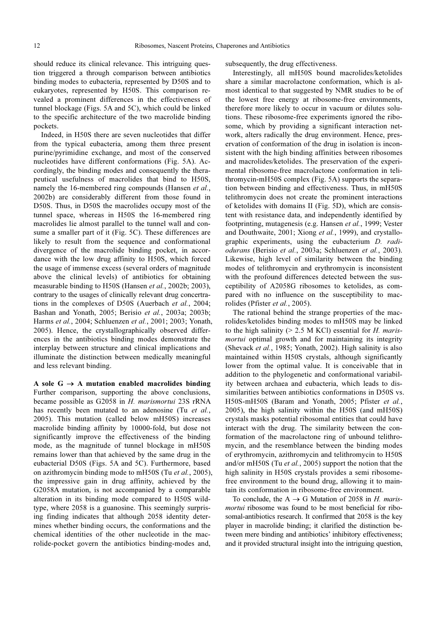should reduce its clinical relevance. This intriguing question triggered a through comparison between antibiotics binding modes to eubacteria, represented by D50S and to eukaryotes, represented by H50S. This comparison revealed a prominent differences in the effectiveness of tunnel blockage (Figs. 5A and 5C), which could be linked to the specific architecture of the two macrolide binding pockets.

Indeed, in H50S there are seven nucleotides that differ from the typical eubacteria, among them three present purine/pyrimidine exchange, and most of the conserved nucleotides have different conformations (Fig. 5A). Accordingly, the binding modes and consequently the therapeutical usefulness of macrolides that bind to H50S, namely the 16-membered ring compounds (Hansen et al., 2002b) are considerably different from those found in D50S. Thus, in D50S the macrolides occupy most of the tunnel space, whereas in H50S the 16-membered ring macrolides lie almost parallel to the tunnel wall and consume a smaller part of it (Fig. 5C). These differences are likely to result from the sequence and conformational divergence of the macrolide binding pocket, in accordance with the low drug affinity to H50S, which forced the usage of immense excess (several orders of magnitude above the clinical levels) of antibiotics for obtaining measurable binding to H50S (Hansen et al., 2002b; 2003), contrary to the usages of clinically relevant drug concertrations in the complexes of D50S (Auerbach et al., 2004; Bashan and Yonath, 2005; Berisio et al., 2003a; 2003b; Harms et al., 2004; Schluenzen et al., 2001; 2003; Yonath, 2005). Hence, the crystallographically observed differences in the antibiotics binding modes demonstrate the interplay between structure and clinical implications and illuminate the distinction between medically meaningful and less relevant binding.

A sole  $G \rightarrow A$  mutation enabled macrolides binding Further comparison, supporting the above conclusions, became possible as G2058 in H. marismortui 23S rRNA has recently been mutated to an adenosine (Tu et al., 2005). This mutation (called below mH50S) increases macrolide binding affinity by 10000-fold, but dose not significantly improve the effectiveness of the binding mode, as the magnitude of tunnel blockage in mH50S remains lower than that achieved by the same drug in the eubacterial D50S (Figs. 5A and 5C). Furthermore, based on azithromycin binding mode to mH50S (Tu et al., 2005), the impressive gain in drug affinity, achieved by the G2058A mutation, is not accompanied by a comparable alteration in its binding mode compared to H50S wildtype, where 2058 is a guanosine. This seemingly surprising finding indicates that although 2058 identity determines whether binding occurs, the conformations and the chemical identities of the other nucleotide in the macrolide-pocket govern the antibiotics binding-modes and,

subsequently, the drug effectiveness.

Interestingly, all mH50S bound macrolides/ketolides share a similar macrolactone conformation, which is almost identical to that suggested by NMR studies to be of the lowest free energy at ribosome-free environments, therefore more likely to occur in vacuum or dilutes solutions. These ribosome-free experiments ignored the ribosome, which by providing a significant interaction network, alters radically the drug environment. Hence, preservation of conformation of the drug in isolation is inconsistent with the high binding affinities between ribosomes and macrolides/ketolides. The preservation of the experimental ribosome-free macrolactone conformation in telithromycin-mH50S complex (Fig. 5A) supports the separation between binding and effectiveness. Thus, in mH50S telithromycin does not create the prominent interactions of ketolides with domains II (Fig. 5D), which are consistent with resistance data, and independently identified by footprinting, mutagenesis (e.g. Hansen et al., 1999; Vester and Douthwaite, 2001; Xiong et al., 1999), and crystallographic experiments, using the eubacterium D. radiodurans (Berisio et al., 2003a; Schluenzen et al., 2003). Likewise, high level of similarity between the binding modes of telithromycin and erythromycin is inconsistent with the profound differences detected between the susceptibility of A2058G ribosomes to ketolides, as compared with no influence on the susceptibility to macrolides (Pfister et al., 2005).

The rational behind the strange properties of the macrolides/ketolides binding modes to mH50S may be linked to the high salinity ( $> 2.5$  M KCl) essential for *H. maris*mortui optimal growth and for maintaining its integrity (Shevack et al., 1985; Yonath, 2002). High salinity is also maintained within H50S crystals, although significantly lower from the optimal value. It is conceivable that in addition to the phylogenetic and conformational variability between archaea and eubacteria, which leads to dissimilarities between antibiotics conformations in D50S vs. H50S-mH50S (Baram and Yonath, 2005; Pfister et al., 2005), the high salinity within the H50S (and mH50S) crystals masks potential ribosomal entities that could have interact with the drug. The similarity between the conformation of the macrolactone ring of unbound telithromycin, and the resemblance between the binding modes of erythromycin, azithromycin and telithromycin to H50S and/or mH50S (Tu et al., 2005) support the notion that the high salinity in H50S crystals provides a semi ribosomefree environment to the bound drug, allowing it to maintain its conformation in ribosome-free environment.

To conclude, the  $A \rightarrow G$  Mutation of 2058 in *H. maris*mortui ribosome was found to be most beneficial for ribosomal-antibiotics research. It confirmed that 2058 is the key player in macrolide binding; it clarified the distinction between mere binding and antibiotics' inhibitory effectiveness; and it provided structural insight into the intriguing question,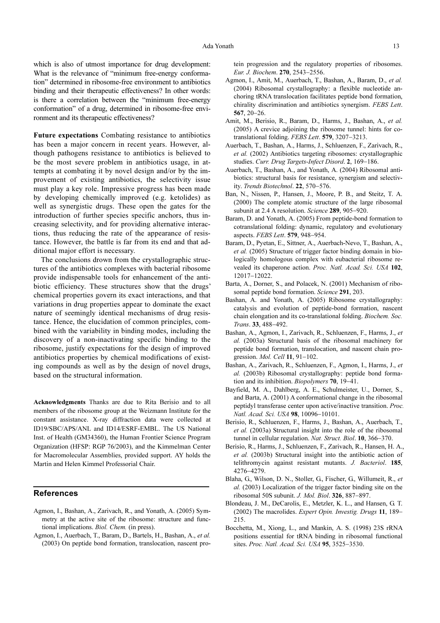which is also of utmost importance for drug development: What is the relevance of "minimum free-energy conformation" determined in ribosome-free environment to antibiotics binding and their therapeutic effectiveness? In other words: is there a correlation between the "minimum free-energy conformation" of a drug, determined in ribosome-free environment and its therapeutic effectiveness?

Future expectations Combating resistance to antibiotics has been a major concern in recent years. However, although pathogens resistance to antibiotics is believed to be the most severe problem in antibiotics usage, in attempts at combating it by novel design and/or by the improvement of existing antibiotics, the selectivity issue must play a key role. Impressive progress has been made by developing chemically improved (e.g. ketolides) as well as synergistic drugs. These open the gates for the introduction of further species specific anchors, thus increasing selectivity, and for providing alternative interactions, thus reducing the rate of the appearance of resistance. However, the battle is far from its end and that additional major effort is necessary.

The conclusions drown from the crystallographic structures of the antibiotics complexes with bacterial ribosome provide indispensable tools for enhancement of the antibiotic efficiency. These structures show that the drugs' chemical properties govern its exact interactions, and that variations in drug properties appear to dominate the exact nature of seemingly identical mechanisms of drug resistance. Hence, the elucidation of common principles, combined with the variability in binding modes, including the discovery of a non-inactivating specific binding to the ribosome, justify expectations for the design of improved antibiotics properties by chemical modifications of existing compounds as well as by the design of novel drugs, based on the structural information.

Acknowledgments Thanks are due to Rita Berisio and to all members of the ribosome group at the Weizmann Institute for the constant assistance. X-ray diffraction data were collected at ID19/SBC/APS/ANL and ID14/ESRF-EMBL. The US National Inst. of Health (GM34360), the Human Frontier Science Program Organization (HFSP: RGP 76/2003), and the Kimmelman Center for Macromolecular Assemblies, provided support. AY holds the Martin and Helen Kimmel Professorial Chair.

#### References

- Agmon, I., Bashan, A., Zarivach, R., and Yonath, A. (2005) Symmetry at the active site of the ribosome: structure and functional implications. Biol. Chem. (in press).
- Agmon, I., Auerbach, T., Baram, D., Bartels, H., Bashan, A., et al. (2003) On peptide bond formation, translocation, nascent pro-

tein progression and the regulatory properties of ribosomes. Eur. J. Biochem. 270, 2543−2556.

- Agmon, I., Amit, M., Auerbach, T., Bashan, A., Baram, D., et al. (2004) Ribosomal crystallography: a flexible nucleotide anchoring tRNA translocation facilitates peptide bond formation, chirality discrimination and antibiotics synergism. FEBS Lett. 567, 20−26.
- Amit, M., Berisio, R., Baram, D., Harms, J., Bashan, A., et al. (2005) A crevice adjoining the ribosome tunnel: hints for cotranslational folding. FEBS Lett. 579, 3207−3213.
- Auerbach, T., Bashan, A., Harms, J., Schluenzen, F., Zarivach, R., et al. (2002) Antibiotics targeting ribosomes: crystallographic studies. Curr. Drug Targets-Infect Disord. 2, 169−186.
- Auerbach, T., Bashan, A., and Yonath, A. (2004) Ribosomal antibiotics: structural basis for resistance, synergism and selectivity. Trends Biotechnol. 22, 570−576.
- Ban, N., Nissen, P., Hansen, J., Moore, P. B., and Steitz, T. A. (2000) The complete atomic structure of the large ribosomal subunit at 2.4 A resolution. Science 289, 905−920.
- Baram, D. and Yonath, A. (2005) From peptide-bond formation to cotranslational folding: dynamic, regulatory and evolutionary aspects. FEBS Lett. 579, 948−954.
- Baram, D., Pyetan, E., Sittner, A., Auerbach-Nevo, T., Bashan, A., et al. (2005) Structure of trigger factor binding domain in biologically homologous complex with eubacterial ribosome revealed its chaperone action. Proc. Natl. Acad. Sci. USA 102, 12017−12022.
- Barta, A., Dorner, S., and Polacek, N. (2001) Mechanism of ribosomal peptide bond formation. Science 291, 203.
- Bashan, A. and Yonath, A. (2005) Ribosome crystallography: catalysis and evolution of peptide-bond formation, nascent chain elongation and its co-translational folding. Biochem. Soc. Trans. 33, 488−492.
- Bashan, A., Agmon, I., Zarivach, R., Schluenzen, F., Harms, J., et al. (2003a) Structural basis of the ribosomal machinery for peptide bond formation, translocation, and nascent chain progression. Mol. Cell 11, 91−102.
- Bashan, A., Zarivach, R., Schluenzen, F., Agmon, I., Harms, J., et al. (2003b) Ribosomal crystallography: peptide bond formation and its inhibition. Biopolymers 70, 19−41.
- Bayfield, M. A., Dahlberg, A. E., Schulmeister, U., Dorner, S., and Barta, A. (2001) A conformational change in the ribosomal peptidyl transferase center upon active/inactive transition. Proc. Natl. Acad. Sci. USA 98, 10096-10101.
- Berisio, R., Schluenzen, F., Harms, J., Bashan, A., Auerbach, T., et al. (2003a) Structural insight into the role of the ribosomal tunnel in cellular regulation. Nat. Struct. Biol. 10, 366−370.
- Berisio, R., Harms, J., Schluenzen, F., Zarivach, R., Hansen, H. A., et al. (2003b) Structural insight into the antibiotic action of telithromycin against resistant mutants. J. Bacteriol. 185, 4276−4279.
- Blaha, G., Wilson, D. N., Stoller, G., Fischer, G., Willumeit, R., et al. (2003) Localization of the trigger factor binding site on the ribosomal 50S subunit. J. Mol. Biol. 326, 887−897.
- Blondeau, J. M., DeCarolis, E., Metzler, K. L., and Hansen, G. T. (2002) The macrolides. Expert Opin. Investig. Drugs 11, 189− 215.
- Bocchetta, M., Xiong, L., and Mankin, A. S. (1998) 23S rRNA positions essential for tRNA binding in ribosomal functional sites. Proc. Natl. Acad. Sci. USA 95, 3525−3530.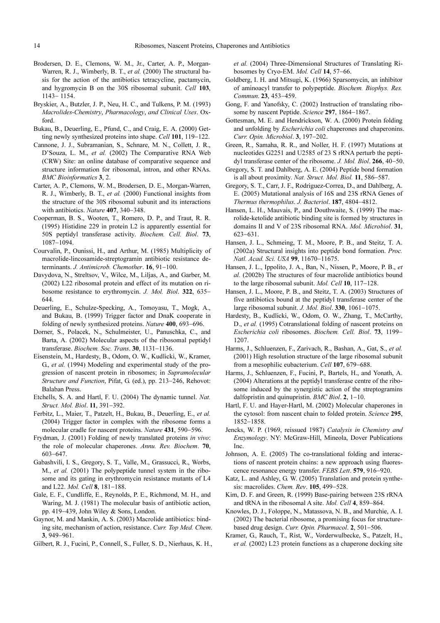- Brodersen, D. E., Clemons, W. M., Jr., Carter, A. P., Morgan-Warren, R. J., Wimberly, B. T., et al. (2000) The structural basis for the action of the antibiotics tetracycline, pactamycin, and hygromycin B on the 30S ribosomal subunit. Cell 103, 1143− 1154.
- Bryskier, A., Butzler, J. P., Neu, H. C., and Tulkens, P. M. (1993) Macrolides-Chemistry, Pharmacology, and Clinical Uses. Oxford.
- Bukau, B., Deuerling, E., Pfund, C., and Craig, E. A. (2000) Getting newly synthesized proteins into shape. Cell 101, 119−122.
- Cannone, J. J., Subramanian, S., Schnare, M. N., Collett, J. R., D'Souza, L. M., et al. (2002) The Comparative RNA Web (CRW) Site: an online database of comparative sequence and structure information for ribosomal, intron, and other RNAs. BMC Bioinformatics 3, 2.
- Carter, A. P., Clemons, W. M., Brodersen, D. E., Morgan-Warren, R. J., Wimberly, B. T., et al. (2000) Functional insights from the structure of the 30S ribosomal subunit and its interactions with antibiotics. Nature 407, 340−348.
- Cooperman, B. S., Wooten, T., Romero, D. P., and Traut, R. R. (1995) Histidine 229 in protein L2 is apparently essential for 50S peptidyl transferase activity. Biochem. Cell. Biol. 73, 1087−1094.
- Courvalin, P., Ounissi, H., and Arthur, M. (1985) Multiplicity of macrolide-lincosamide-streptogramin antibiotic resistance determinants. J. Antimicrob. Chemother. 16, 91−100.
- Davydova, N., Streltsov, V., Wilce, M., Liljas, A., and Garber, M. (2002) L22 ribosomal protein and effect of its mutation on ribosome resistance to erythromycin. J. Mol. Biol. 322, 635− 644.
- Deuerling, E., Schulze-Specking, A., Tomoyasu, T., Mogk, A., and Bukau, B. (1999) Trigger factor and DnaK cooperate in folding of newly synthesized proteins. Nature 400, 693−696.
- Dorner, S., Polacek, N., Schulmeister, U., Panuschka, C., and Barta, A. (2002) Molecular aspects of the ribosomal peptidyl transferase. Biochem. Soc. Trans. 30, 1131−1136.
- Eisenstein, M., Hardesty, B., Odom, O. W., Kudlicki, W., Kramer, G., et al. (1994) Modeling and experimental study of the progression of nascent protein in ribosomes; in Supramolecular Structure and Function, Pifat, G. (ed.), pp. 213−246, Rehovot: Balaban Press.
- Etchells, S. A. and Hartl, F. U. (2004) The dynamic tunnel. Nat. Struct. Mol. Biol. 11, 391−392.
- Ferbitz, L., Maier, T., Patzelt, H., Bukau, B., Deuerling, E., et al. (2004) Trigger factor in complex with the ribosome forms a molecular cradle for nascent proteins. Nature 431, 590−596.
- Frydman, J. (2001) Folding of newly translated proteins in vivo: the role of molecular chaperones. Annu. Rev. Biochem. 70, 603−647.
- Gabashvili, I. S., Gregory, S. T., Valle, M., Grassucci, R., Worbs, M., et al. (2001) The polypeptide tunnel system in the ribosome and its gating in erythromycin resistance mutants of L4 and L22. Mol. Cell 8, 181−188.
- Gale, E. F., Cundliffe, E., Reynolds, P. E., Richmond, M. H., and Waring, M. J. (1981) The molecular basis of antibiotic action, pp. 419−439, John Wiley & Sons, London.
- Gaynor, M. and Mankin, A. S. (2003) Macrolide antibiotics: binding site, mechanism of action, resistance. Curr. Top Med. Chem. 3, 949−961.
- Gilbert, R. J., Fucini, P., Connell, S., Fuller, S. D., Nierhaus, K. H.,

et al. (2004) Three-Dimensional Structures of Translating Ribosomes by Cryo-EM. Mol. Cell 14, 57−66.

- Goldberg, I. H. and Mitsugi, K. (1966) Sparsomycin, an inhibitor of aminoacyl transfer to polypeptide. Biochem. Biophys. Res. Commun. 23, 453−459.
- Gong, F. and Yanofsky, C. (2002) Instruction of translating ribosome by nascent Peptide. Science 297, 1864−1867.
- Gottesman, M. E. and Hendrickson, W. A. (2000) Protein folding and unfolding by Escherichia coli chaperones and chaperonins. Curr. Opin. Microbiol. 3, 197−202.
- Green, R., Samaha, R. R., and Noller, H. F. (1997) Mutations at nucleotides G2251 and U2585 of 23 S rRNA perturb the peptidyl transferase center of the ribosome. J. Mol. Biol. 266, 40−50.
- Gregory, S. T. and Dahlberg, A. E. (2004) Peptide bond formation is all about proximity. Nat. Struct. Mol. Biol. 11, 586−587.
- Gregory, S. T., Carr, J. F., Rodriguez-Correa, D., and Dahlberg, A. E. (2005) Mutational analysis of 16S and 23S rRNA Genes of Thermus thermophilus. J. Bacteriol. 187, 4804−4812.
- Hansen, L. H., Mauvais, P., and Douthwaite, S. (1999) The macrolide-ketolide antibiotic binding site is formed by structures in domains II and V of 23S ribosomal RNA. Mol. Microbiol. 31, 623−631.
- Hansen, J. L., Schmeing, T. M., Moore, P. B., and Steitz, T. A. (2002a) Structural insights into peptide bond formation. Proc. Natl. Acad. Sci. USA 99, 11670−11675.
- Hansen, J. L., Ippolito, J. A., Ban, N., Nissen, P., Moore, P. B., et al. (2002b) The structures of four macrolide antibiotics bound to the large ribosomal subunit. Mol. Cell 10, 117−128.
- Hansen, J. L., Moore, P. B., and Steitz, T. A. (2003) Structures of five antibiotics bound at the peptidyl transferase center of the large ribosomal subunit. J. Mol. Biol. 330, 1061−1075.
- Hardesty, B., Kudlicki, W., Odom, O. W., Zhang, T., McCarthy, D., *et al.* (1995) Cotranslational folding of nascent proteins on Escherichia coli ribosomes. Biochem. Cell. Biol. 73, 1199− 1207.
- Harms, J., Schluenzen, F., Zarivach, R., Bashan, A., Gat, S., et al. (2001) High resolution structure of the large ribosomal subunit from a mesophilic eubacterium. Cell 107, 679−688.
- Harms, J., Schluenzen, F., Fucini, P., Bartels, H., and Yonath, A. (2004) Alterations at the peptidyl transferase centre of the ribosome induced by the synergistic action of the streptogramins dalfopristin and quinupristin. BMC Biol. 2, 1−10.
- Hartl, F. U. and Hayer-Hartl, M. (2002) Molecular chaperones in the cytosol: from nascent chain to folded protein. Science 295, 1852−1858.
- Jencks, W. P. (1969, reissued 1987) Catalysis in Chemistry and Enzymology. NY: McGraw-Hill, Mineola, Dover Publications Inc.
- Johnson, A. E. (2005) The co-translational folding and interactions of nascent protein chains: a new approach using fluorescence resonance energy transfer. FEBS Lett. 579, 916−920.
- Katz, L. and Ashley, G. W. (2005) Translation and protein synthesis: macrolides. Chem. Rev. 105, 499−528.
- Kim, D. F. and Green, R. (1999) Base-pairing between 23S rRNA and tRNA in the ribosomal A site. Mol. Cell 4, 859−864.
- Knowles, D. J., Foloppe, N., Matassova, N. B., and Murchie, A. I. (2002) The bacterial ribosome, a promising focus for structurebased drug design. Curr. Opin. Pharmacol. 2, 501−506.
- Kramer, G., Rauch, T., Rist, W., Vorderwulbecke, S., Patzelt, H., et al. (2002) L23 protein functions as a chaperone docking site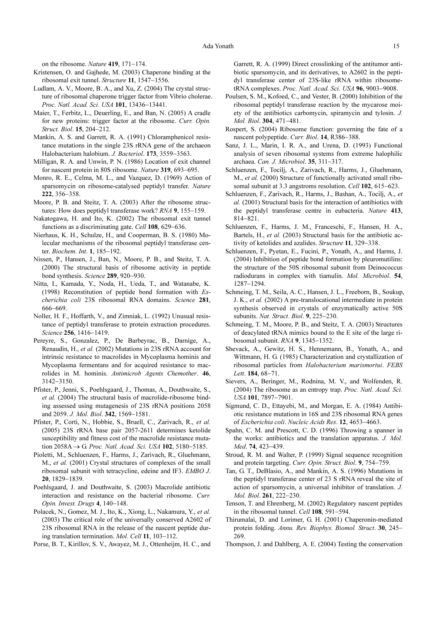on the ribosome. Nature 419, 171−174.

- Kristensen, O. and Gajhede, M. (2003) Chaperone binding at the ribosomal exit tunnel. Structure 11, 1547−1556.
- Ludlam, A. V., Moore, B. A., and Xu, Z. (2004) The crystal structure of ribosomal chaperone trigger factor from Vibrio cholerae. Proc. Natl. Acad. Sci. USA 101, 13436−13441.
- Maier, T., Ferbitz, L., Deuerling, E., and Ban, N. (2005) A cradle for new proteins: trigger factor at the ribosome. Curr. Opin. Struct. Biol. 15, 204−212.
- Mankin, A. S. and Garrett, R. A. (1991) Chloramphenicol resistance mutations in the single 23S rRNA gene of the archaeon Halobacterium halobium. J. Bacteriol. 173, 3559−3563.
- Milligan, R. A. and Unwin, P. N. (1986) Location of exit channel for nascent protein in 80S ribosome. Nature 319, 693-695.
- Monro, R. E., Celma, M. L., and Vazquez, D. (1969) Action of sparsomycin on ribosome-catalysed peptidyl transfer. Nature 222, 356−358.
- Moore, P. B. and Steitz, T. A. (2003) After the ribosome structures: How does peptidyl transferase work? RNA 9, 155−159.
- Nakatogawa, H. and Ito, K. (2002) The ribosomal exit tunnel functions as a discriminating gate. Cell 108, 629−636.
- Nierhaus, K. H., Schulze, H., and Cooperman, B. S. (1980) Molecular mechanisms of the ribosomal peptidyl transferase center. Biochem. Int. 1, 185−192.
- Nissen, P., Hansen, J., Ban, N., Moore, P. B., and Steitz, T. A. (2000) The structural basis of ribosome activity in peptide bond synthesis. Science 289, 920−930.
- Nitta, I., Kamada, Y., Noda, H., Ueda, T., and Watanabe, K. (1998) Reconstitution of peptide bond formation with Escherichia coli 23S ribosomal RNA domains. Science 281, 666−669.
- Noller, H. F., Hoffarth, V., and Zimniak, L. (1992) Unusual resistance of peptidyl transferase to protein extraction procedures. Science 256, 1416−1419.
- Pereyre, S., Gonzalez, P., De Barbeyrac, B., Darnige, A., Renaudin, H., et al. (2002) Mutations in 23S rRNA account for intrinsic resistance to macrolides in Mycoplasma hominis and Mycoplasma fermentans and for acquired resistance to macrolides in M. hominis. Antimicrob Agents Chemother. 46, 3142−3150.
- Pfister, P., Jenni, S., Poehlsgaard, J., Thomas, A., Douthwaite, S., et al. (2004) The structural basis of macrolide-ribosome binding assessed using mutagenesis of 23S rRNA positions 2058 and 2059. J. Mol. Biol. 342, 1569−1581.
- Pfister, P., Corti, N., Hobbie, S., Bruell, C., Zarivach, R., et al. (2005) 23S rRNA base pair 2057-2611 determines ketolide susceptibility and fitness cost of the macrolide resistance mutation 2058A → G. Proc. Natl. Acad. Sci. USA 102, 5180−5185.
- Pioletti, M., Schluenzen, F., Harms, J., Zarivach, R., Gluehmann, M., et al. (2001) Crystal structures of complexes of the small ribosomal subunit with tetracycline, edeine and IF3. EMBO J. 20, 1829−1839.
- Poehlsgaard, J. and Douthwaite, S. (2003) Macrolide antibiotic interaction and resistance on the bacterial ribosome. Curr. Opin. Invest. Drugs 4, 140−148.
- Polacek, N., Gomez, M. J., Ito, K., Xiong, L., Nakamura, Y., et al. (2003) The critical role of the universally conserved A2602 of 23S ribosomal RNA in the release of the nascent peptide during translation termination. Mol. Cell 11, 103−112.

Porse, B. T., Kirillov, S. V., Awayez, M. J., Ottenheijm, H. C., and

Garrett, R. A. (1999) Direct crosslinking of the antitumor antibiotic sparsomycin, and its derivatives, to A2602 in the peptidyl transferase center of 23S-like rRNA within ribosometRNA complexes. Proc. Natl. Acad. Sci. USA 96, 9003−9008.

- Poulsen, S. M., Kofoed, C., and Vester, B. (2000) Inhibition of the ribosomal peptidyl transferase reaction by the mycarose moiety of the antibiotics carbomycin, spiramycin and tylosin. J. Mol. Biol. 304, 471−481.
- Rospert, S. (2004) Ribosome function: governing the fate of a nascent polypeptide. Curr. Biol. 14, R386−388.
- Sanz, J. L., Marin, I. R. A., and Urena, D. (1993) Functional analysis of seven ribosomal systems from extreme halophilic archaea. Can. J. Microbiol. 35, 311−317.
- Schluenzen, F., Tocilj, A., Zarivach, R., Harms, J., Gluehmann, M., et al. (2000) Structure of functionally activated small ribosomal subunit at 3.3 angstroms resolution. Cell 102, 615–623.
- Schluenzen, F., Zarivach, R., Harms, J., Bashan, A., Tocilj, A., et al. (2001) Structural basis for the interaction of antibiotics with the peptidyl transferase centre in eubacteria. Nature 413, 814−821.
- Schluenzen, F., Harms, J. M., Franceschi, F., Hansen, H. A., Bartels, H., et al. (2003) Structural basis for the antibiotic activity of ketolides and azalides. Structure 11, 329−338.
- Schluenzen, F., Pyetan, E., Fucini, P., Yonath, A., and Harms, J. (2004) Inhibition of peptide bond formation by pleuromutilins: the structure of the 50S ribosomal subunit from Deinococcus radiodurans in complex with tiamulin. Mol. Microbiol. 54, 1287−1294.
- Schmeing, T. M., Seila, A. C., Hansen, J. L., Freeborn, B., Soukup, J. K., et al. (2002) A pre-translocational intermediate in protein synthesis observed in crystals of enzymatically active 50S subunits. Nat. Struct. Biol. 9, 225−230.
- Schmeing, T. M., Moore, P. B., and Steitz, T. A. (2003) Structures of deacylated tRNA mimics bound to the E site of the large ribosomal subunit. RNA 9, 1345−1352.
- Shevack, A., Gewitz, H. S., Hennemann, B., Yonath, A., and Wittmann, H. G. (1985) Characterization and crystallization of ribosomal particles from Halobacterium marismortui. FEBS Lett. 184, 68−71.
- Sievers, A., Beringer, M., Rodnina, M. V., and Wolfenden, R. (2004) The ribosome as an entropy trap. Proc. Natl. Acad. Sci. USA 101, 7897−7901.
- Sigmund, C. D., Ettayebi, M., and Morgan, E. A. (1984) Antibiotic resistance mutations in 16S and 23S ribosomal RNA genes of Escherichia coli. Nucleic Acids Res. 12, 4653−4663.
- Spahn, C. M. and Prescott, C. D. (1996) Throwing a spanner in the works: antibiotics and the translation apparatus. J. Mol. Med. 74, 423−439.
- Stroud, R. M. and Walter, P. (1999) Signal sequence recognition and protein targeting. Curr. Opin. Struct. Biol. 9, 754−759.
- Tan, G. T., DeBlasio, A., and Mankin, A. S. (1996) Mutations in the peptidyl transferase center of 23 S rRNA reveal the site of action of sparsomycin, a universal inhibitor of translation. J. Mol. Biol. 261, 222−230.
- Tenson, T. and Ehrenberg, M. (2002) Regulatory nascent peptides in the ribosomal tunnel. Cell 108, 591−594.
- Thirumalai, D. and Lorimer, G. H. (2001) Chaperonin-mediated protein folding. Annu. Rev. Biophys. Biomol. Struct. 30, 245− 269.
- Thompson, J. and Dahlberg, A. E. (2004) Testing the conservation